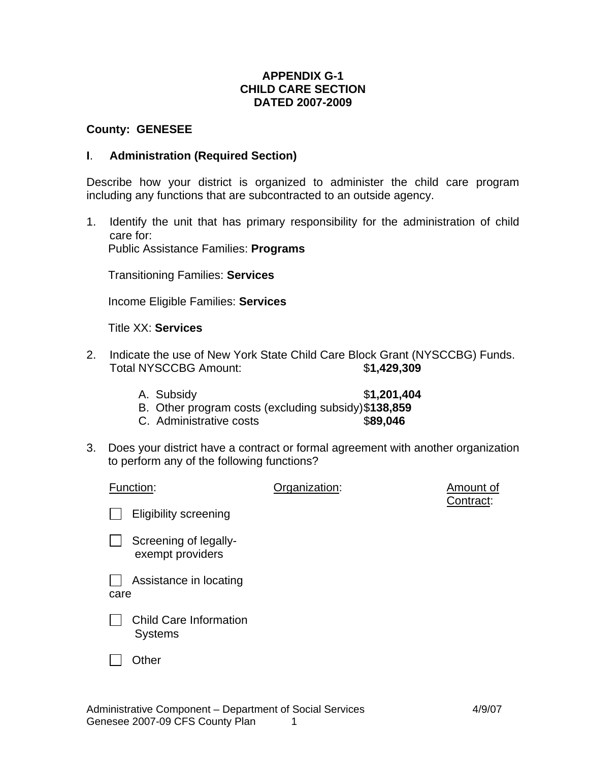## **APPENDIX G-1 CHILD CARE SECTION DATED 2007-2009**

### **County: GENESEE**

### **I**. **Administration (Required Section)**

Describe how your district is organized to administer the child care program including any functions that are subcontracted to an outside agency.

1. Identify the unit that has primary responsibility for the administration of child care for: Public Assistance Families: **Programs**

Transitioning Families: **Services**

Income Eligible Families: **Services**

Title XX: **Services**

- 2. Indicate the use of New York State Child Care Block Grant (NYSCCBG) Funds. Total NYSCCBG Amount: \$**1,429,309**
	- A. Subsidy **\$1,201,404**
	- B. Other program costs (excluding subsidy) \$**138,859**
	- C. Administrative costs \$**89,046**
- 3. Does your district have a contract or formal agreement with another organization to perform any of the following functions?

| Function:                                       | Organization: | Amount of<br>Contract: |
|-------------------------------------------------|---------------|------------------------|
| <b>Eligibility screening</b>                    |               |                        |
| Screening of legally-<br>exempt providers       |               |                        |
| Assistance in locating<br>care                  |               |                        |
| <b>Child Care Information</b><br><b>Systems</b> |               |                        |
| Dther                                           |               |                        |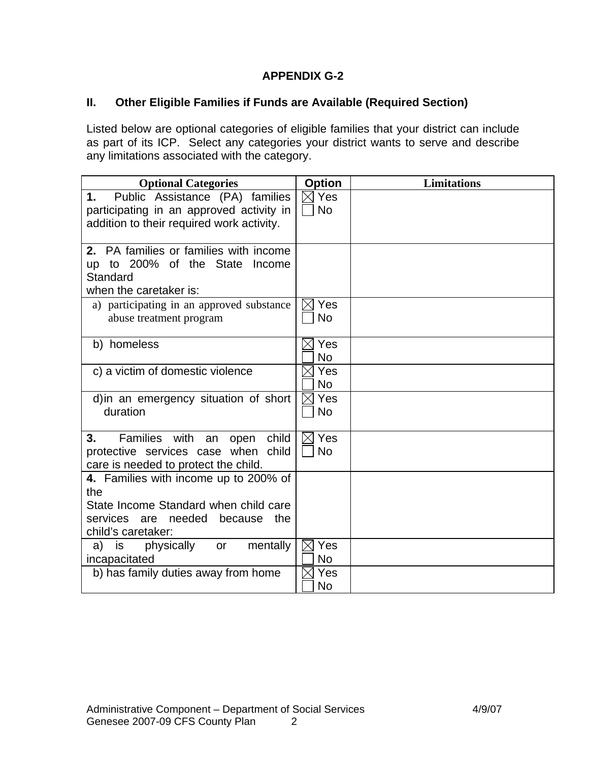# **APPENDIX G-2**

## **II. Other Eligible Families if Funds are Available (Required Section)**

Listed below are optional categories of eligible families that your district can include as part of its ICP. Select any categories your district wants to serve and describe any limitations associated with the category.

| <b>Optional Categories</b>                   | <b>Option</b>                | <b>Limitations</b> |
|----------------------------------------------|------------------------------|--------------------|
| Public Assistance (PA) families<br>1.        | $\boxtimes$ Yes              |                    |
| participating in an approved activity in     | <b>No</b>                    |                    |
| addition to their required work activity.    |                              |                    |
| 2. PA families or families with income       |                              |                    |
| up to 200% of the State Income               |                              |                    |
| Standard                                     |                              |                    |
| when the caretaker is:                       |                              |                    |
| a) participating in an approved substance    | $\boxtimes$ Yes              |                    |
| abuse treatment program                      | <b>No</b>                    |                    |
|                                              |                              |                    |
| b) homeless                                  | $\boxtimes$ Yes              |                    |
|                                              | <b>No</b>                    |                    |
| c) a victim of domestic violence             | Yes<br>$\times$<br><b>No</b> |                    |
| d) in an emergency situation of short        | $\boxtimes$ Yes              |                    |
| duration                                     | <b>No</b>                    |                    |
|                                              |                              |                    |
| Families with<br>child<br>3.<br>an<br>open   | $\boxtimes$ Yes              |                    |
| protective services case when child          | <b>No</b>                    |                    |
| care is needed to protect the child.         |                              |                    |
| 4. Families with income up to 200% of<br>the |                              |                    |
| State Income Standard when child care        |                              |                    |
| services are needed<br>the<br>because        |                              |                    |
| child's caretaker:                           |                              |                    |
| mentally<br>is<br>physically<br>a)<br>or     | Yes<br>IXI                   |                    |
| incapacitated                                | <b>No</b>                    |                    |
| b) has family duties away from home          | Yes                          |                    |
|                                              | No                           |                    |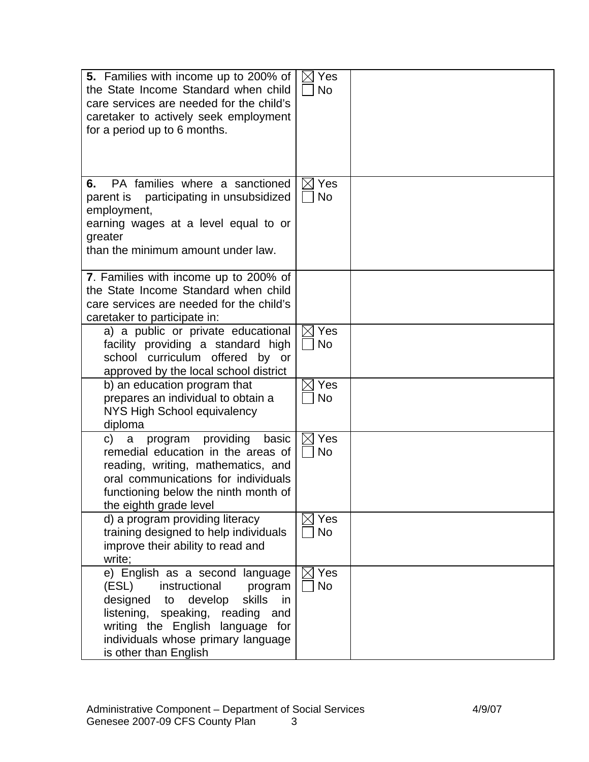| <b>5.</b> Families with income up to 200% of<br>the State Income Standard when child<br>care services are needed for the child's<br>caretaker to actively seek employment<br>for a period up to 6 months.                                                   | $\boxtimes$ Yes<br><b>No</b> |  |
|-------------------------------------------------------------------------------------------------------------------------------------------------------------------------------------------------------------------------------------------------------------|------------------------------|--|
| PA families where a sanctioned<br>6.<br>parent is participating in unsubsidized<br>employment,<br>earning wages at a level equal to or<br>greater<br>than the minimum amount under law.                                                                     | $\boxtimes$ Yes<br><b>No</b> |  |
| 7. Families with income up to 200% of<br>the State Income Standard when child<br>care services are needed for the child's<br>caretaker to participate in:                                                                                                   |                              |  |
| a) a public or private educational<br>facility providing a standard high<br>school curriculum offered by or<br>approved by the local school district                                                                                                        | $\boxtimes$ Yes<br><b>No</b> |  |
| b) an education program that<br>prepares an individual to obtain a<br>NYS High School equivalency<br>diploma                                                                                                                                                | Yes<br><b>No</b>             |  |
| providing<br>basic<br>program<br>C)<br>a<br>remedial education in the areas of<br>reading, writing, mathematics, and<br>oral communications for individuals<br>functioning below the ninth month of<br>the eighth grade level                               | Yes<br><b>No</b>             |  |
| d) a program providing literacy<br>training designed to help individuals<br>improve their ability to read and<br>write;                                                                                                                                     | $\boxtimes$ Yes<br><b>No</b> |  |
| e) English as a second language<br>(ESL)<br>instructional<br>program<br>designed<br>develop<br>skills<br>in<br>to<br>listening, speaking, reading<br>and<br>writing the English language for<br>individuals whose primary language<br>is other than English | Yes<br><b>No</b>             |  |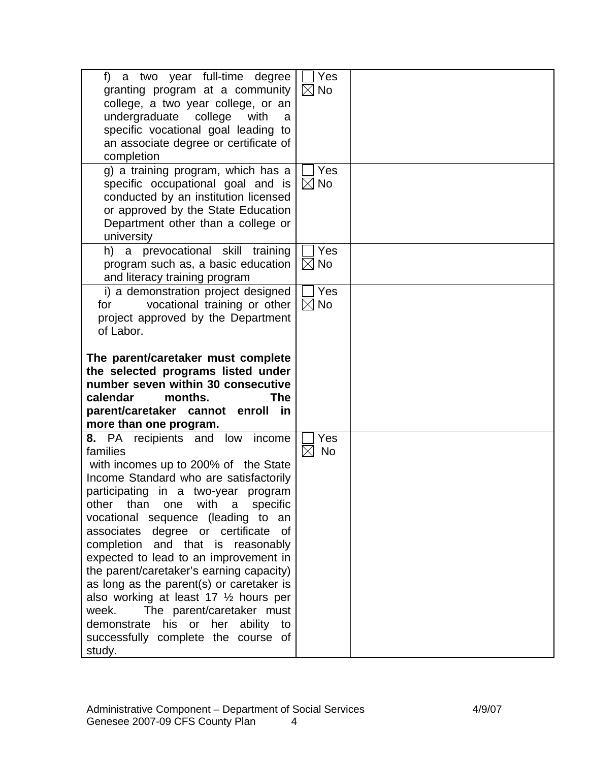| f) a two year full-time degree<br>granting program at a community<br>college, a two year college, or an<br>undergraduate college<br>with<br>a<br>specific vocational goal leading to<br>an associate degree or certificate of<br>completion                                                                                                                                                                                                                                                                                                                                                                                                                 | Yes<br>$\boxtimes$ No<br><b>Yes</b> |  |
|-------------------------------------------------------------------------------------------------------------------------------------------------------------------------------------------------------------------------------------------------------------------------------------------------------------------------------------------------------------------------------------------------------------------------------------------------------------------------------------------------------------------------------------------------------------------------------------------------------------------------------------------------------------|-------------------------------------|--|
| g) a training program, which has a<br>specific occupational goal and is<br>conducted by an institution licensed<br>or approved by the State Education<br>Department other than a college or<br>university                                                                                                                                                                                                                                                                                                                                                                                                                                                   | $\boxtimes$ No                      |  |
| h) a prevocational skill training<br>program such as, a basic education<br>and literacy training program                                                                                                                                                                                                                                                                                                                                                                                                                                                                                                                                                    | <b>Yes</b><br>$\boxtimes$ No        |  |
| i) a demonstration project designed<br>vocational training or other<br>for<br>project approved by the Department<br>of Labor.                                                                                                                                                                                                                                                                                                                                                                                                                                                                                                                               | Yes<br>$\boxtimes$ No               |  |
| The parent/caretaker must complete<br>the selected programs listed under<br>number seven within 30 consecutive<br>calendar<br>months.<br><b>The</b><br>parent/caretaker cannot enroll in                                                                                                                                                                                                                                                                                                                                                                                                                                                                    |                                     |  |
| more than one program.                                                                                                                                                                                                                                                                                                                                                                                                                                                                                                                                                                                                                                      |                                     |  |
| 8. PA recipients and low income<br>families<br>with incomes up to 200% of the State<br>Income Standard who are satisfactorily<br>participating in a two-year program<br>than<br>with<br>other<br>one<br>specific<br>a<br>vocational sequence (leading to an<br>associates degree or certificate of<br>completion and that is reasonably<br>expected to lead to an improvement in<br>the parent/caretaker's earning capacity)<br>as long as the parent(s) or caretaker is<br>also working at least 17 $\frac{1}{2}$ hours per<br>The parent/caretaker must<br>week.<br>his or her ability to<br>demonstrate<br>successfully complete the course of<br>study. | Yes<br><b>No</b><br>$\bowtie$       |  |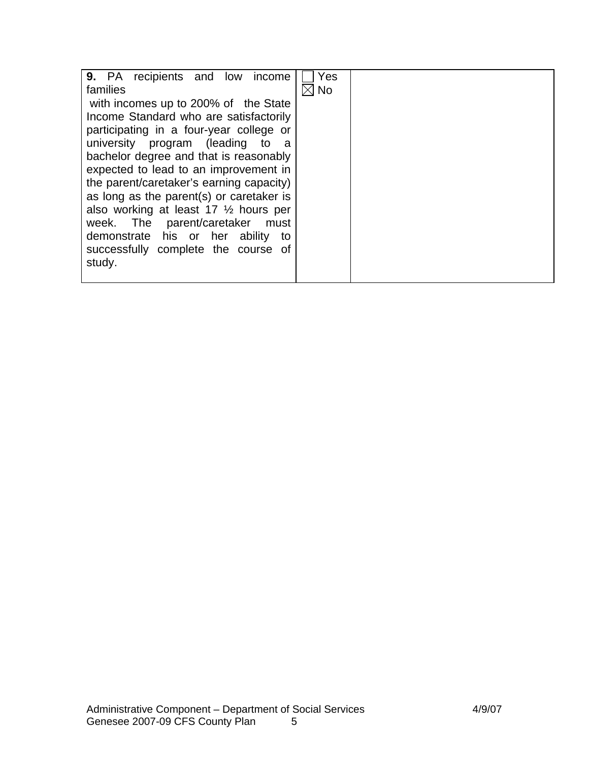| 9. PA recipients and low income                  | Yes            |  |
|--------------------------------------------------|----------------|--|
| families                                         | $\boxtimes$ No |  |
| with incomes up to 200% of the State             |                |  |
| Income Standard who are satisfactorily           |                |  |
| participating in a four-year college or          |                |  |
| university program (leading to<br>- a            |                |  |
| bachelor degree and that is reasonably           |                |  |
| expected to lead to an improvement in            |                |  |
| the parent/caretaker's earning capacity)         |                |  |
| as long as the parent(s) or caretaker is         |                |  |
| also working at least 17 $\frac{1}{2}$ hours per |                |  |
| week. The parent/caretaker<br>must               |                |  |
| demonstrate his or her ability<br>to             |                |  |
| successfully complete the course of              |                |  |
| study.                                           |                |  |
|                                                  |                |  |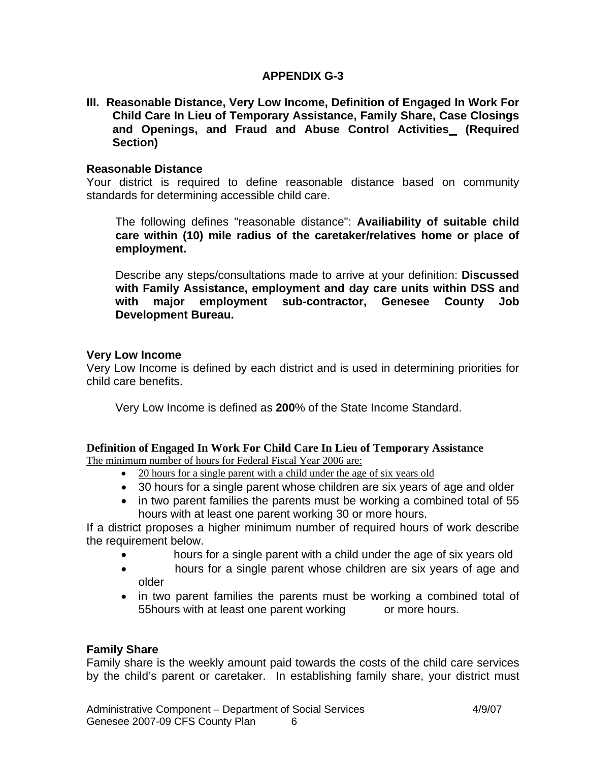## **APPENDIX G-3**

**III. Reasonable Distance, Very Low Income, Definition of Engaged In Work For Child Care In Lieu of Temporary Assistance, Family Share, Case Closings and Openings, and Fraud and Abuse Control Activities (Required Section)** 

### **Reasonable Distance**

Your district is required to define reasonable distance based on community standards for determining accessible child care.

 The following defines "reasonable distance": **Availiability of suitable child care within (10) mile radius of the caretaker/relatives home or place of employment.** 

 Describe any steps/consultations made to arrive at your definition: **Discussed with Family Assistance, employment and day care units within DSS and with major employment sub-contractor, Genesee County Job Development Bureau.** 

### **Very Low Income**

Very Low Income is defined by each district and is used in determining priorities for child care benefits.

Very Low Income is defined as **200**% of the State Income Standard.

# **Definition of Engaged In Work For Child Care In Lieu of Temporary Assistance**

The minimum number of hours for Federal Fiscal Year 2006 are:

- 20 hours for a single parent with a child under the age of six years old
- 30 hours for a single parent whose children are six years of age and older
- in two parent families the parents must be working a combined total of 55 hours with at least one parent working 30 or more hours.

If a district proposes a higher minimum number of required hours of work describe the requirement below.

- hours for a single parent with a child under the age of six years old
- **hours for a single parent whose children are six years of age and** older
- in two parent families the parents must be working a combined total of 55hours with at least one parent working or more hours.

## **Family Share**

Family share is the weekly amount paid towards the costs of the child care services by the child's parent or caretaker. In establishing family share, your district must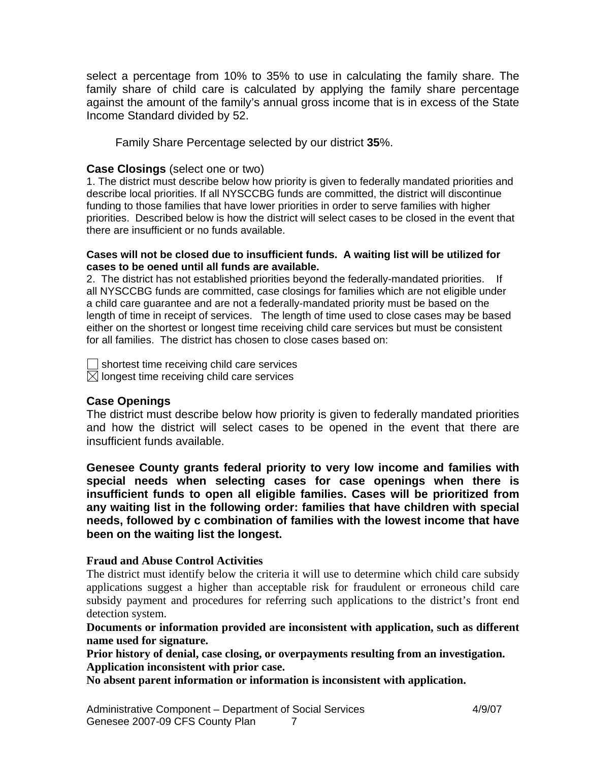select a percentage from 10% to 35% to use in calculating the family share. The family share of child care is calculated by applying the family share percentage against the amount of the family's annual gross income that is in excess of the State Income Standard divided by 52.

Family Share Percentage selected by our district **35**%.

## **Case Closings** (select one or two)

1. The district must describe below how priority is given to federally mandated priorities and describe local priorities. If all NYSCCBG funds are committed, the district will discontinue funding to those families that have lower priorities in order to serve families with higher priorities. Described below is how the district will select cases to be closed in the event that there are insufficient or no funds available.

#### **Cases will not be closed due to insufficient funds. A waiting list will be utilized for cases to be oened until all funds are available.**

2. The district has not established priorities beyond the federally-mandated priorities. If all NYSCCBG funds are committed, case closings for families which are not eligible under a child care guarantee and are not a federally-mandated priority must be based on the length of time in receipt of services. The length of time used to close cases may be based either on the shortest or longest time receiving child care services but must be consistent for all families. The district has chosen to close cases based on:

 $\Box$  shortest time receiving child care services  $\boxtimes$  longest time receiving child care services

### **Case Openings**

The district must describe below how priority is given to federally mandated priorities and how the district will select cases to be opened in the event that there are insufficient funds available.

**Genesee County grants federal priority to very low income and families with special needs when selecting cases for case openings when there is insufficient funds to open all eligible families. Cases will be prioritized from any waiting list in the following order: families that have children with special needs, followed by c combination of families with the lowest income that have been on the waiting list the longest.** 

## **Fraud and Abuse Control Activities**

The district must identify below the criteria it will use to determine which child care subsidy applications suggest a higher than acceptable risk for fraudulent or erroneous child care subsidy payment and procedures for referring such applications to the district's front end detection system.

**Documents or information provided are inconsistent with application, such as different name used for signature.** 

**Prior history of denial, case closing, or overpayments resulting from an investigation. Application inconsistent with prior case.** 

**No absent parent information or information is inconsistent with application.**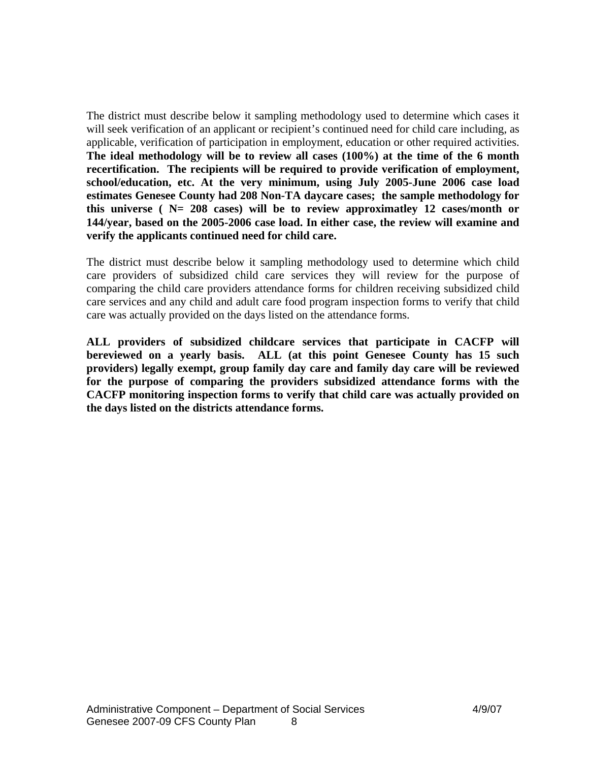The district must describe below it sampling methodology used to determine which cases it will seek verification of an applicant or recipient's continued need for child care including, as applicable, verification of participation in employment, education or other required activities. **The ideal methodology will be to review all cases (100%) at the time of the 6 month recertification. The recipients will be required to provide verification of employment, school/education, etc. At the very minimum, using July 2005-June 2006 case load estimates Genesee County had 208 Non-TA daycare cases; the sample methodology for this universe ( N= 208 cases) will be to review approximatley 12 cases/month or 144/year, based on the 2005-2006 case load. In either case, the review will examine and verify the applicants continued need for child care.** 

The district must describe below it sampling methodology used to determine which child care providers of subsidized child care services they will review for the purpose of comparing the child care providers attendance forms for children receiving subsidized child care services and any child and adult care food program inspection forms to verify that child care was actually provided on the days listed on the attendance forms.

**ALL providers of subsidized childcare services that participate in CACFP will bereviewed on a yearly basis. ALL (at this point Genesee County has 15 such providers) legally exempt, group family day care and family day care will be reviewed for the purpose of comparing the providers subsidized attendance forms with the CACFP monitoring inspection forms to verify that child care was actually provided on the days listed on the districts attendance forms.**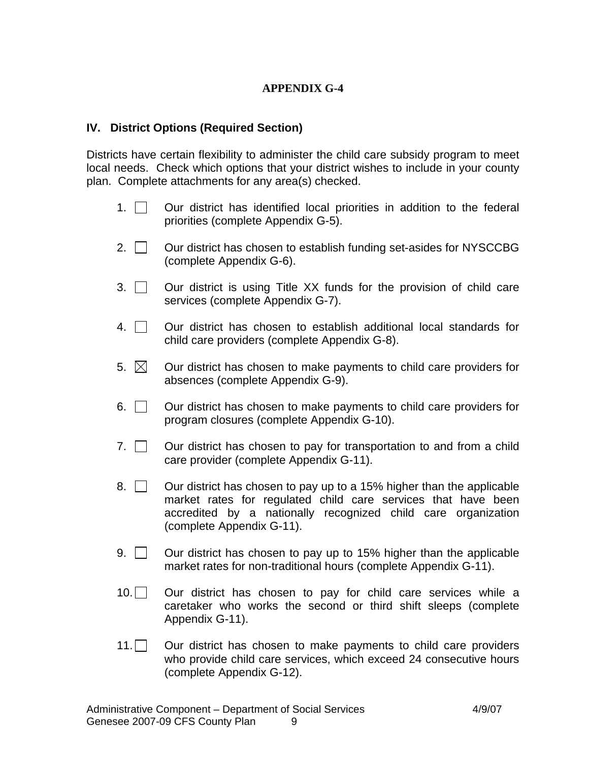## **APPENDIX G-4**

### **IV. District Options (Required Section)**

Districts have certain flexibility to administer the child care subsidy program to meet local needs. Check which options that your district wishes to include in your county plan. Complete attachments for any area(s) checked.

- 1.  $\Box$  Our district has identified local priorities in addition to the federal priorities (complete Appendix G-5).
- 2.  $\Box$  Our district has chosen to establish funding set-asides for NYSCCBG (complete Appendix G-6).
- $3.$   $\Box$  Our district is using Title XX funds for the provision of child care services (complete Appendix G-7).
- $4.$   $\parallel$  Our district has chosen to establish additional local standards for child care providers (complete Appendix G-8).
- 5.  $\boxtimes$  Our district has chosen to make payments to child care providers for absences (complete Appendix G-9).
- 6. Our district has chosen to make payments to child care providers for program closures (complete Appendix G-10).
- 7.  $\Box$  Our district has chosen to pay for transportation to and from a child care provider (complete Appendix G-11).
- 8.  $\Box$  Our district has chosen to pay up to a 15% higher than the applicable market rates for regulated child care services that have been accredited by a nationally recognized child care organization (complete Appendix G-11).
- 9.  $\Box$  Our district has chosen to pay up to 15% higher than the applicable market rates for non-traditional hours (complete Appendix G-11).
- $10.\n\Box$  Our district has chosen to pay for child care services while a caretaker who works the second or third shift sleeps (complete Appendix G-11).
- 11. Our district has chosen to make payments to child care providers who provide child care services, which exceed 24 consecutive hours (complete Appendix G-12).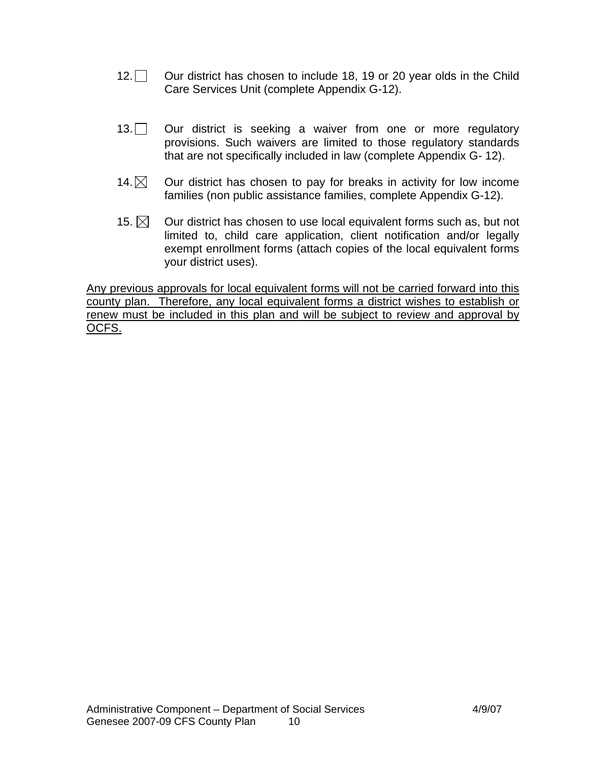- 12. Our district has chosen to include 18, 19 or 20 year olds in the Child Care Services Unit (complete Appendix G-12).
- 13. Our district is seeking a waiver from one or more regulatory provisions. Such waivers are limited to those regulatory standards that are not specifically included in law (complete Appendix G- 12).
- 14. $\boxtimes$  Our district has chosen to pay for breaks in activity for low income families (non public assistance families, complete Appendix G-12).
- 15.  $\boxtimes$  Our district has chosen to use local equivalent forms such as, but not limited to, child care application, client notification and/or legally exempt enrollment forms (attach copies of the local equivalent forms your district uses).

Any previous approvals for local equivalent forms will not be carried forward into this county plan. Therefore, any local equivalent forms a district wishes to establish or renew must be included in this plan and will be subject to review and approval by OCFS.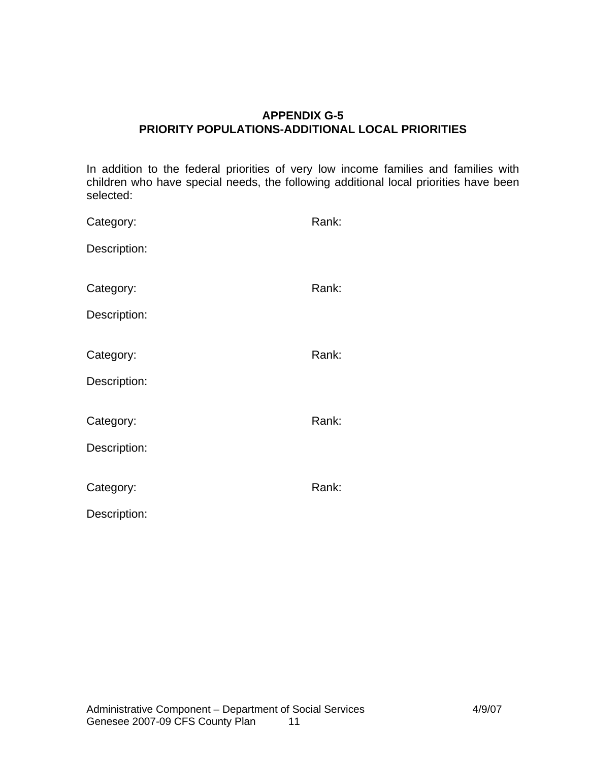## **APPENDIX G-5 PRIORITY POPULATIONS-ADDITIONAL LOCAL PRIORITIES**

In addition to the federal priorities of very low income families and families with children who have special needs, the following additional local priorities have been selected:

| Category:    | Rank: |
|--------------|-------|
| Description: |       |
| Category:    | Rank: |
| Description: |       |
| Category:    | Rank: |
| Description: |       |
| Category:    | Rank: |
| Description: |       |
|              |       |
| Category:    | Rank: |
| Description: |       |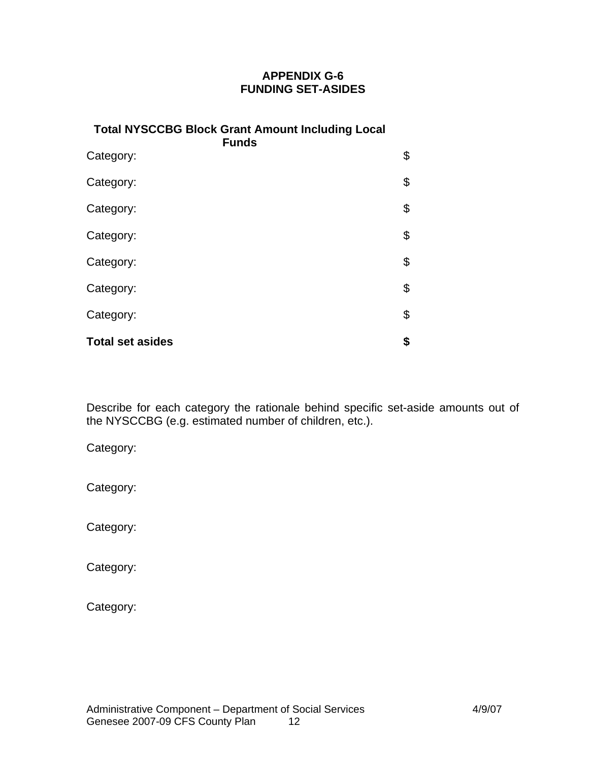# **APPENDIX G-6 FUNDING SET-ASIDES**

| <b>Total NYSCCBG Block Grant Amount Including Local</b><br><b>Funds</b> |    |
|-------------------------------------------------------------------------|----|
| Category:                                                               | \$ |
| Category:                                                               | \$ |
| Category:                                                               | \$ |
| Category:                                                               | \$ |
| Category:                                                               | \$ |
| Category:                                                               | \$ |
| Category:                                                               | \$ |
| <b>Total set asides</b>                                                 | \$ |

Describe for each category the rationale behind specific set-aside amounts out of the NYSCCBG (e.g. estimated number of children, etc.).

Category:

Category:

Category:

Category:

Category: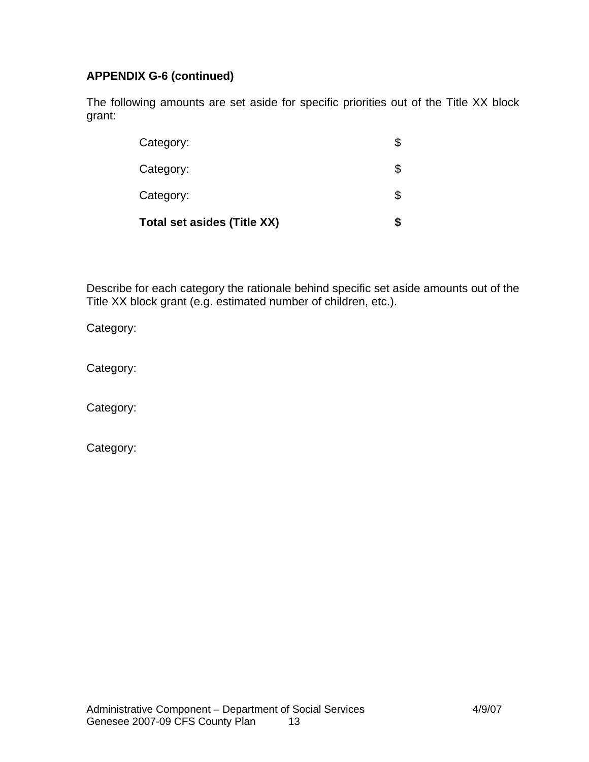# **APPENDIX G-6 (continued)**

The following amounts are set aside for specific priorities out of the Title XX block grant:

| <b>Total set asides (Title XX)</b> |    |
|------------------------------------|----|
| Category:                          | \$ |
| Category:                          |    |
| Category:                          | \$ |

Describe for each category the rationale behind specific set aside amounts out of the Title XX block grant (e.g. estimated number of children, etc.).

Category:

Category:

Category:

Category: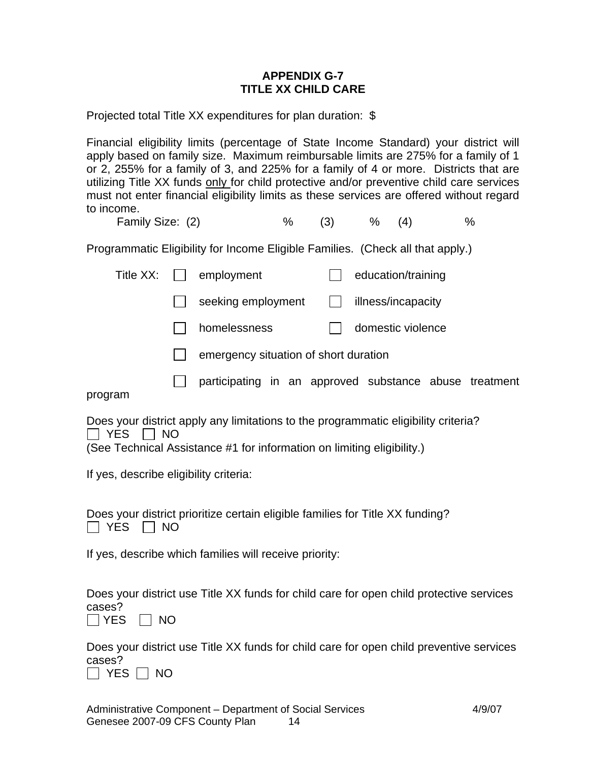## **APPENDIX G-7 TITLE XX CHILD CARE**

Projected total Title XX expenditures for plan duration: \$

Financial eligibility limits (percentage of State Income Standard) your district will apply based on family size. Maximum reimbursable limits are 275% for a family of 1 or 2, 255% for a family of 3, and 225% for a family of 4 or more. Districts that are utilizing Title XX funds only for child protective and/or preventive child care services must not enter financial eligibility limits as these services are offered without regard to income.

Family Size: (2)  $\frac{1}{2}$   $\frac{1}{2}$   $\frac{1}{2}$   $\frac{1}{2}$   $\frac{1}{2}$   $\frac{1}{2}$   $\frac{1}{2}$   $\frac{1}{2}$   $\frac{1}{2}$   $\frac{1}{2}$   $\frac{1}{2}$   $\frac{1}{2}$   $\frac{1}{2}$   $\frac{1}{2}$   $\frac{1}{2}$   $\frac{1}{2}$   $\frac{1}{2}$   $\frac{1}{2}$   $\frac{1}{2}$   $\frac{1}{2}$   $\frac{1$ 

Programmatic Eligibility for Income Eligible Families. (Check all that apply.)

|         | Title $XX:$ $\parallel$ $\parallel$ | employment                                             | education/training |  |
|---------|-------------------------------------|--------------------------------------------------------|--------------------|--|
|         |                                     | seeking employment                                     | illness/incapacity |  |
|         |                                     | homelessness                                           | domestic violence  |  |
|         |                                     | emergency situation of short duration                  |                    |  |
|         |                                     | participating in an approved substance abuse treatment |                    |  |
| nrogram |                                     |                                                        |                    |  |

progra

Does your district apply any limitations to the programmatic eligibility criteria?  $\Box$  YES  $\Box$  NO

(See Technical Assistance #1 for information on limiting eligibility.)

If yes, describe eligibility criteria:

Does your district prioritize certain eligible families for Title XX funding?  $\Box$  YES  $\Box$  NO

If yes, describe which families will receive priority:

Does your district use Title XX funds for child care for open child protective services cases?

 $\Box$  YES  $\Box$  NO

Does your district use Title XX funds for child care for open child preventive services cases?

 $\Box$  YES  $\Box$  NO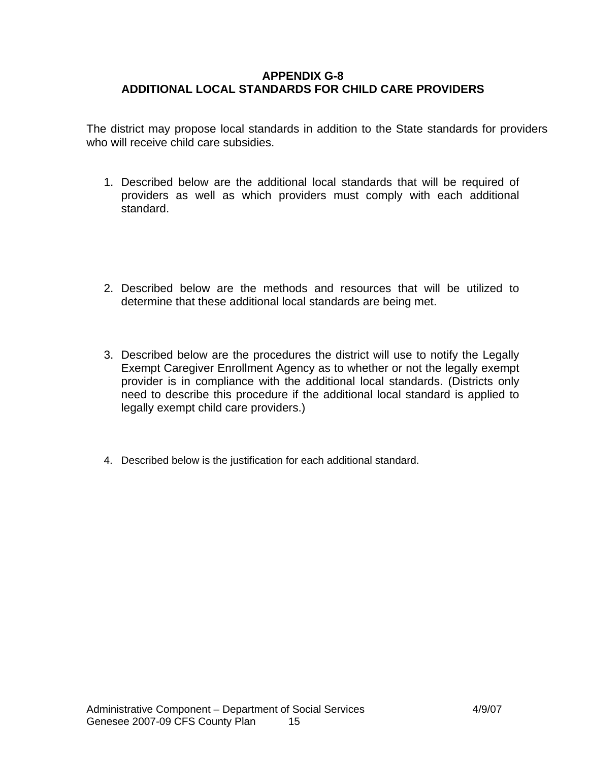## **APPENDIX G-8 ADDITIONAL LOCAL STANDARDS FOR CHILD CARE PROVIDERS**

The district may propose local standards in addition to the State standards for providers who will receive child care subsidies.

- 1. Described below are the additional local standards that will be required of providers as well as which providers must comply with each additional standard.
- 2. Described below are the methods and resources that will be utilized to determine that these additional local standards are being met.
- 3. Described below are the procedures the district will use to notify the Legally Exempt Caregiver Enrollment Agency as to whether or not the legally exempt provider is in compliance with the additional local standards. (Districts only need to describe this procedure if the additional local standard is applied to legally exempt child care providers.)
- 4. Described below is the justification for each additional standard.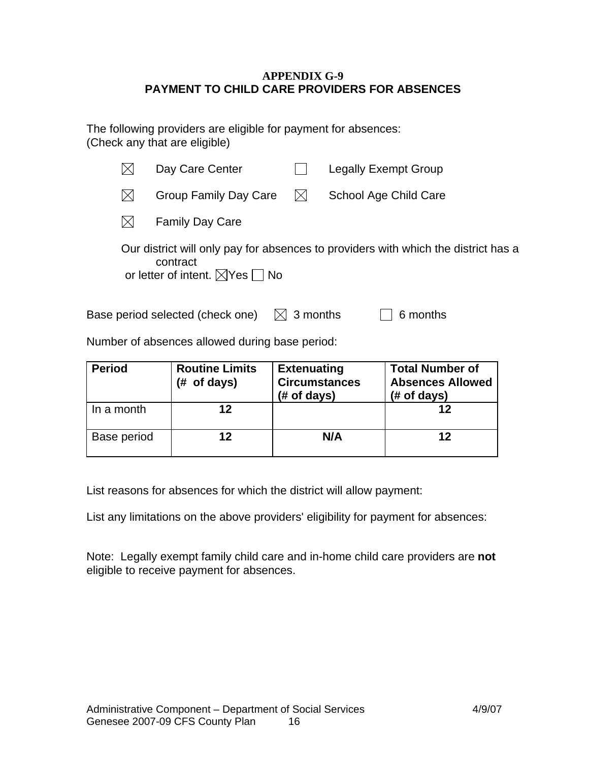### **APPENDIX G-9 PAYMENT TO CHILD CARE PROVIDERS FOR ABSENCES**

The following providers are eligible for payment for absences: (Check any that are eligible)

|              | Day Care Center                                                                                                                                  |             | <b>Legally Exempt Group</b> |  |
|--------------|--------------------------------------------------------------------------------------------------------------------------------------------------|-------------|-----------------------------|--|
| $\mathsf{X}$ | <b>Group Family Day Care</b>                                                                                                                     | $\boxtimes$ | School Age Child Care       |  |
|              | <b>Family Day Care</b>                                                                                                                           |             |                             |  |
|              | Our district will only pay for absences to providers with which the district has a<br>contract<br>or letter of intent. $\boxtimes$ Yes $\Box$ No |             |                             |  |
|              | Base period selected (check one)                                                                                                                 | 3 months    | 6 months                    |  |

Number of absences allowed during base period:

| <b>Period</b> | <b>Routine Limits</b><br>of days)<br>(# | <b>Extenuating</b><br><b>Circumstances</b><br>$#$ of days) | <b>Total Number of</b><br><b>Absences Allowed</b><br>$#$ of days) |
|---------------|-----------------------------------------|------------------------------------------------------------|-------------------------------------------------------------------|
| In a month    | 12                                      |                                                            | 12                                                                |
| Base period   | 12                                      | N/A                                                        | 12                                                                |

List reasons for absences for which the district will allow payment:

List any limitations on the above providers' eligibility for payment for absences:

Note: Legally exempt family child care and in-home child care providers are **not**  eligible to receive payment for absences.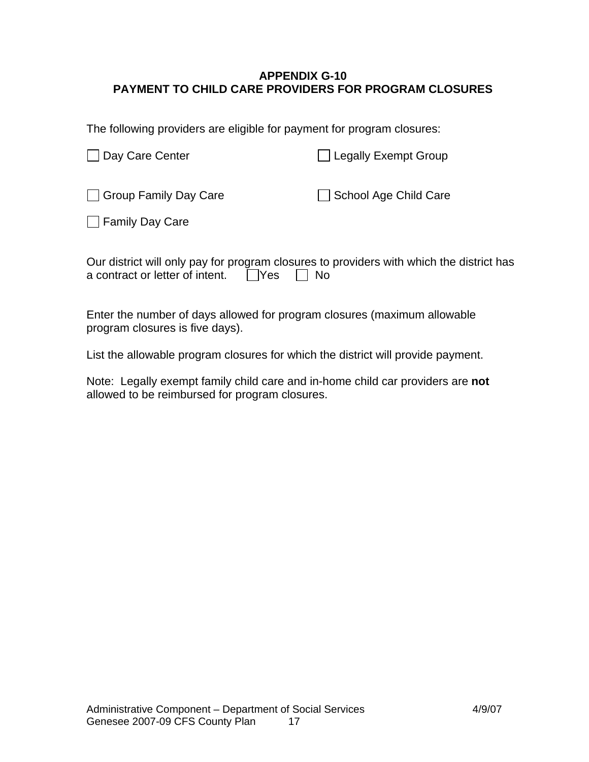## **APPENDIX G-10 PAYMENT TO CHILD CARE PROVIDERS FOR PROGRAM CLOSURES**

The following providers are eligible for payment for program closures:

| Day Care Center       | <b>Legally Exempt Group</b> |
|-----------------------|-----------------------------|
| Group Family Day Care | School Age Child Care       |
| □ Family Day Care     |                             |

| Our district will only pay for program closures to providers with which the district has |  |  |
|------------------------------------------------------------------------------------------|--|--|
| a contract or letter of intent. $\Box$ Yes $\Box$ No                                     |  |  |

Enter the number of days allowed for program closures (maximum allowable program closures is five days).

List the allowable program closures for which the district will provide payment.

Note: Legally exempt family child care and in-home child car providers are **not** allowed to be reimbursed for program closures.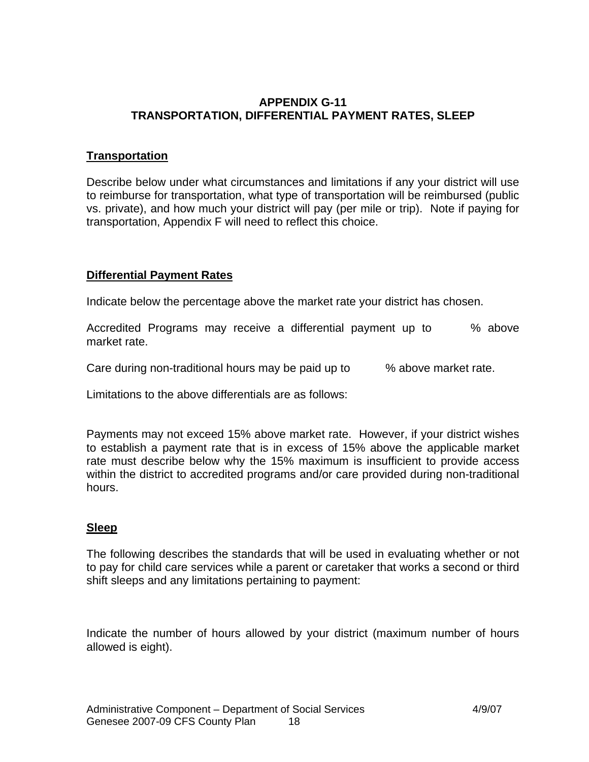## **APPENDIX G-11 TRANSPORTATION, DIFFERENTIAL PAYMENT RATES, SLEEP**

# **Transportation**

Describe below under what circumstances and limitations if any your district will use to reimburse for transportation, what type of transportation will be reimbursed (public vs. private), and how much your district will pay (per mile or trip). Note if paying for transportation, Appendix F will need to reflect this choice.

## **Differential Payment Rates**

Indicate below the percentage above the market rate your district has chosen.

Accredited Programs may receive a differential payment up to % above market rate.

Care during non-traditional hours may be paid up to % above market rate.

Limitations to the above differentials are as follows:

Payments may not exceed 15% above market rate. However, if your district wishes to establish a payment rate that is in excess of 15% above the applicable market rate must describe below why the 15% maximum is insufficient to provide access within the district to accredited programs and/or care provided during non-traditional hours.

# **Sleep**

The following describes the standards that will be used in evaluating whether or not to pay for child care services while a parent or caretaker that works a second or third shift sleeps and any limitations pertaining to payment:

Indicate the number of hours allowed by your district (maximum number of hours allowed is eight).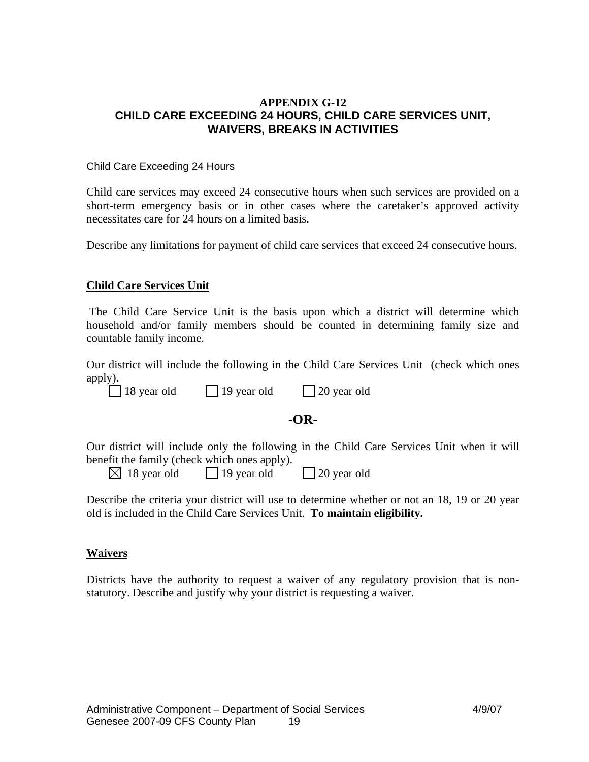### **APPENDIX G-12 CHILD CARE EXCEEDING 24 HOURS, CHILD CARE SERVICES UNIT, WAIVERS, BREAKS IN ACTIVITIES**

#### Child Care Exceeding 24 Hours

Child care services may exceed 24 consecutive hours when such services are provided on a short-term emergency basis or in other cases where the caretaker's approved activity necessitates care for 24 hours on a limited basis.

Describe any limitations for payment of child care services that exceed 24 consecutive hours.

### **Child Care Services Unit**

 The Child Care Service Unit is the basis upon which a district will determine which household and/or family members should be counted in determining family size and countable family income.

Our district will include the following in the Child Care Services Unit (check which ones apply).

18 year old 19 year old 20 year old

## **-OR-**

Our district will include only the following in the Child Care Services Unit when it will benefit the family (check which ones apply).

 $\boxtimes$  18 year old  $\Box$  19 year old  $\Box$  20 year old

Describe the criteria your district will use to determine whether or not an 18, 19 or 20 year old is included in the Child Care Services Unit. **To maintain eligibility.**

### **Waivers**

Districts have the authority to request a waiver of any regulatory provision that is nonstatutory. Describe and justify why your district is requesting a waiver.